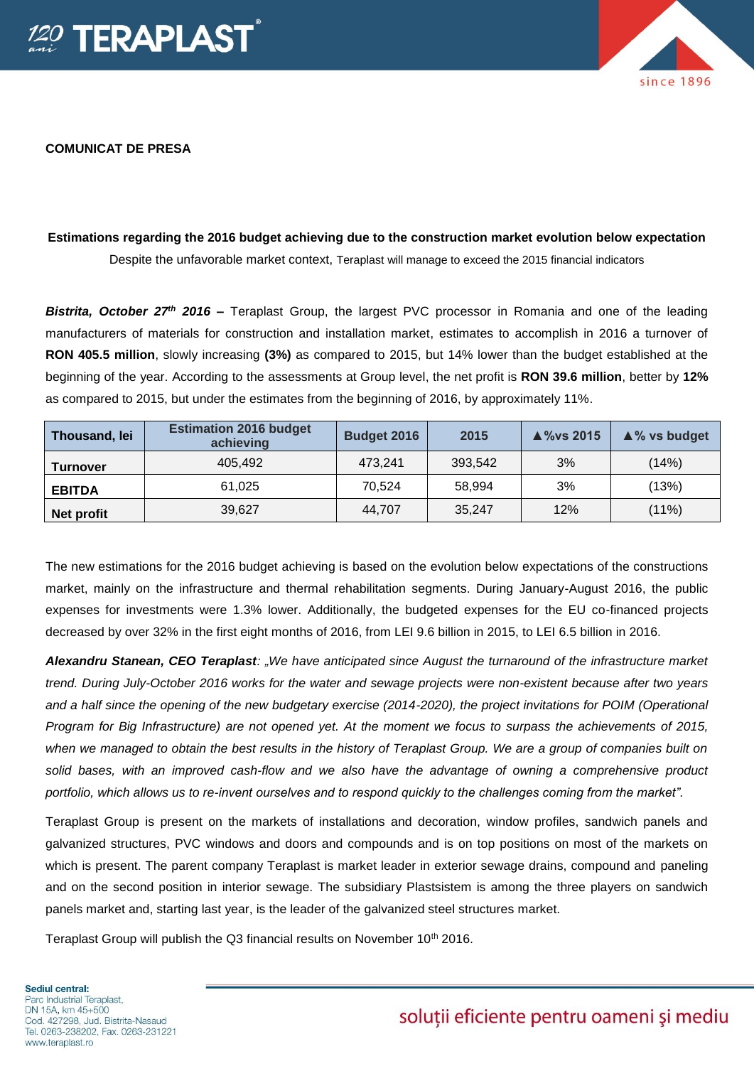

## **COMUNICAT DE PRESA**

## **Estimations regarding the 2016 budget achieving due to the construction market evolution below expectation** Despite the unfavorable market context, Teraplast will manage to exceed the 2015 financial indicators

*Bistrita, October 27th 2016 –* Teraplast Group, the largest PVC processor in Romania and one of the leading manufacturers of materials for construction and installation market, estimates to accomplish in 2016 a turnover of **RON 405.5 million**, slowly increasing **(3%)** as compared to 2015, but 14% lower than the budget established at the beginning of the year. According to the assessments at Group level, the net profit is **RON 39.6 million**, better by **12%** as compared to 2015, but under the estimates from the beginning of 2016, by approximately 11%.

| Thousand, lei   | <b>Estimation 2016 budget</b><br>achieving | Budget 2016 | 2015    | $\triangle$ %vs 2015 | $\triangle$ % vs budget |
|-----------------|--------------------------------------------|-------------|---------|----------------------|-------------------------|
| <b>Turnover</b> | 405,492                                    | 473.241     | 393,542 | 3%                   | (14%)                   |
| <b>EBITDA</b>   | 61.025                                     | 70.524      | 58,994  | 3%                   | (13%)                   |
| Net profit      | 39,627                                     | 44.707      | 35,247  | 12%                  | (11%)                   |

The new estimations for the 2016 budget achieving is based on the evolution below expectations of the constructions market, mainly on the infrastructure and thermal rehabilitation segments. During January-August 2016, the public expenses for investments were 1.3% lower. Additionally, the budgeted expenses for the EU co-financed projects decreased by over 32% in the first eight months of 2016, from LEI 9.6 billion in 2015, to LEI 6.5 billion in 2016.

*Alexandru Stanean, CEO Teraplast: "We have anticipated since August the turnaround of the infrastructure market trend. During July-October 2016 works for the water and sewage projects were non-existent because after two years and a half since the opening of the new budgetary exercise (2014-2020), the project invitations for POIM (Operational Program for Big Infrastructure) are not opened yet. At the moment we focus to surpass the achievements of 2015, when we managed to obtain the best results in the history of Teraplast Group. We are a group of companies built on solid bases, with an improved cash-flow and we also have the advantage of owning a comprehensive product portfolio, which allows us to re-invent ourselves and to respond quickly to the challenges coming from the market".*

Teraplast Group is present on the markets of installations and decoration, window profiles, sandwich panels and galvanized structures, PVC windows and doors and compounds and is on top positions on most of the markets on which is present. The parent company Teraplast is market leader in exterior sewage drains, compound and paneling and on the second position in interior sewage. The subsidiary Plastsistem is among the three players on sandwich panels market and, starting last year, is the leader of the galvanized steel structures market.

Teraplast Group will publish the Q3 financial results on November 10<sup>th</sup> 2016.

## Sediul central: Parc Industrial Teraplast. DN 15A, km 45+500 Cod. 427298, Jud. Bistrita-Nasaud Tel. 0263-238202, Fax. 0263-231221 www.teraplast.ro